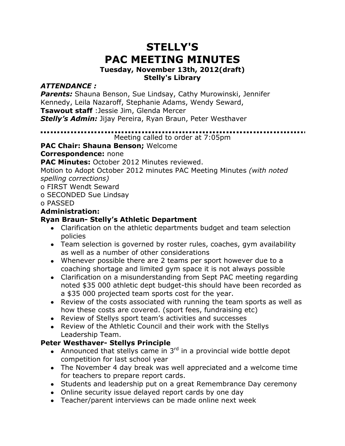# **STELLY'S PAC MEETING MINUTES**

#### **Tuesday, November 13th, 2012(draft) Stelly's Library**

# *ATTENDANCE :*

*Parents:* Shauna Benson, Sue Lindsay, Cathy Murowinski, Jennifer Kennedy, Leila Nazaroff, Stephanie Adams, Wendy Seward,

**Tsawout staff** :Jessie Jim, Glenda Mercer

*Stelly's Admin:* Jijay Pereira, Ryan Braun, Peter Westhaver

Meeting called to order at 7:05pm

# **PAC Chair: Shauna Benson;** Welcome

**Correspondence:** none

**PAC Minutes:** October 2012 Minutes reviewed.

Motion to Adopt October 2012 minutes PAC Meeting Minutes *(with noted spelling corrections)*

o FIRST Wendt Seward

o SECONDED Sue Lindsay

#### o PASSED

## **Administration:**

# **Ryan Braun- Stelly's Athletic Department**

- Clarification on the athletic departments budget and team selection policies
- Team selection is governed by roster rules, coaches, gym availability as well as a number of other considerations
- Whenever possible there are 2 teams per sport however due to a coaching shortage and limited gym space it is not always possible
- Clarification on a misunderstanding from Sept PAC meeting regarding noted \$35 000 athletic dept budget-this should have been recorded as a \$35 000 projected team sports cost for the year.
- Review of the costs associated with running the team sports as well as how these costs are covered. (sport fees, fundraising etc)
- Review of Stellys sport team's activities and successes
- Review of the Athletic Council and their work with the Stellys Leadership Team.

## **Peter Westhaver- Stellys Principle**

- Announced that stellys came in  $3<sup>rd</sup>$  in a provincial wide bottle depot competition for last school year
- The November 4 day break was well appreciated and a welcome time for teachers to prepare report cards.
- Students and leadership put on a great Remembrance Day ceremony
- Online security issue delayed report cards by one day
- Teacher/parent interviews can be made online next week